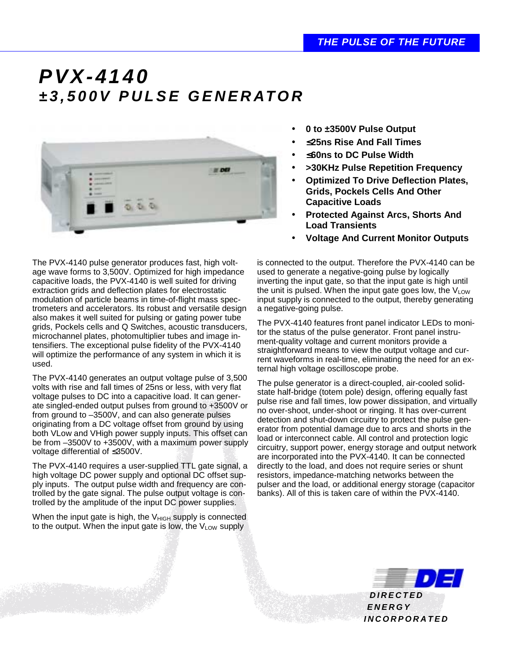## *PVX-4140 ±3,500V PULSE GENERATOR*



The PVX-4140 pulse generator produces fast, high voltage wave forms to 3,500V. Optimized for high impedance capacitive loads, the PVX-4140 is well suited for driving extraction grids and deflection plates for electrostatic modulation of particle beams in time-of-flight mass spectrometers and accelerators. Its robust and versatile design also makes it well suited for pulsing or gating power tube grids, Pockels cells and Q Switches, acoustic transducers, microchannel plates, photomultiplier tubes and image intensifiers. The exceptional pulse fidelity of the PVX-4140 will optimize the performance of any system in which it is used.

The PVX-4140 generates an output voltage pulse of 3,500 volts with rise and fall times of 25ns or less, with very flat voltage pulses to DC into a capacitive load. It can generate singled-ended output pulses from ground to +3500V or from ground to –3500V, and can also generate pulses originating from a DC voltage offset from ground by using both VLow and VHigh power supply inputs. This offset can be from –3500V to +3500V, with a maximum power supply voltage differential of ≤3500V.

The PVX-4140 requires a user-supplied TTL gate signal, a high voltage DC power supply and optional DC offset supply inputs. The output pulse width and frequency are controlled by the gate signal. The pulse output voltage is controlled by the amplitude of the input DC power supplies.

When the input gate is high, the  $V_{HIGH}$  supply is connected to the output. When the input gate is low, the  $V_{LOW}$  supply

- **0 to ±3500V Pulse Output**
- ≤**25ns Rise And Fall Times**
- ≤**60ns to DC Pulse Width**
- **>30KHz Pulse Repetition Frequency**
- **Optimized To Drive Deflection Plates, Grids, Pockels Cells And Other Capacitive Loads**
- **Protected Against Arcs, Shorts And Load Transients**
- **Voltage And Current Monitor Outputs**

is connected to the output. Therefore the PVX-4140 can be used to generate a negative-going pulse by logically inverting the input gate, so that the input gate is high until the unit is pulsed. When the input gate goes low, the  $V_{LOW}$ input supply is connected to the output, thereby generating a negative-going pulse.

The PVX-4140 features front panel indicator LEDs to monitor the status of the pulse generator. Front panel instrument-quality voltage and current monitors provide a straightforward means to view the output voltage and current waveforms in real-time, eliminating the need for an external high voltage oscilloscope probe.

The pulse generator is a direct-coupled, air-cooled solidstate half-bridge (totem pole) design, offering equally fast pulse rise and fall times, low power dissipation, and virtually no over-shoot, under-shoot or ringing. It has over-current detection and shut-down circuitry to protect the pulse generator from potential damage due to arcs and shorts in the load or interconnect cable. All control and protection logic circuitry, support power, energy storage and output network are incorporated into the PVX-4140. It can be connected directly to the load, and does not require series or shunt resistors, impedance-matching networks between the pulser and the load, or additional energy storage (capacitor banks). All of this is taken care of within the PVX-4140.